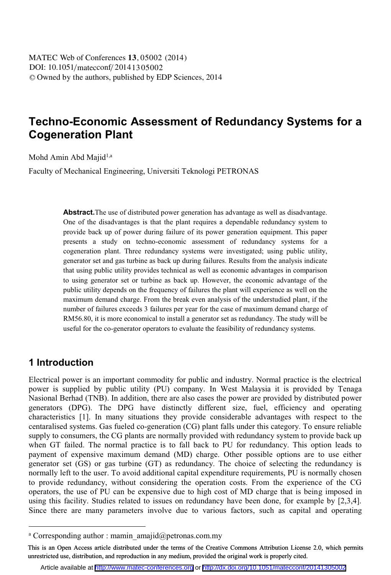DOI: 10.1051/matecconf/20141305002 -<sup>C</sup> Owned by the authors, published by EDP Sciences, 2014 MATEC Web of Conferences **13**, 05002 (2014)

# **Techno-Economic Assessment of Redundancy Systems for a Cogeneration Plant**

Mohd Amin Abd Majid<sup>1,a</sup>

Faculty of Mechanical Engineering, Universiti Teknologi PETRONAS

Abstract. The use of distributed power generation has advantage as well as disadvantage. One of the disadvantages is that the plant requires a dependable redundancy system to provide back up of power during failure of its power generation equipment. This paper presents a study on techno-economic assessment of redundancy systems for a cogeneration plant. Three redundancy systems were investigated; using public utility, generator set and gas turbine as back up during failures. Results from the analysis indicate that using public utility provides technical as well as economic advantages in comparison to using generator set or turbine as back up. However, the economic advantage of the public utility depends on the frequency of failures the plant will experience as well on the maximum demand charge. From the break even analysis of the understudied plant, if the number of failures exceeds 3 failures per year for the case of maximum demand charge of RM56.80, it is more economical to install a generator set as redundancy. The study will be useful for the co-generator operators to evaluate the feasibility of redundancy systems.

#### **1 Introduction**

 $\overline{a}$ 

Electrical power is an important commodity for public and industry. Normal practice is the electrical power is supplied by public utility (PU) company. In West Malaysia it is provided by Tenaga Nasional Berhad (TNB). In addition, there are also cases the power are provided by distributed power generators (DPG). The DPG have distinctly different size, fuel, efficiency and operating characteristics [1]. In many situations they provide considerable advantages with respect to the centaralised systems. Gas fueled co-generation (CG) plant falls under this category. To ensure reliable supply to consumers, the CG plants are normally provided with redundancy system to provide back up when GT failed. The normal practice is to fall back to PU for redundancy. This option leads to payment of expensive maximum demand (MD) charge. Other possible options are to use either generator set (GS) or gas turbine (GT) as redundancy. The choice of selecting the redundancy is normally left to the user. To avoid additional capital expenditure requirements, PU is normally chosen to provide redundancy, without considering the operation costs. From the experience of the CG operators, the use of PU can be expensive due to high cost of MD charge that is being imposed in using this facility. Studies related to issues on redundancy have been done, for example by [2,3,4]. Since there are many parameters involve due to various factors, such as capital and operating

a Corresponding author : mamin\_amajid@petronas.com.my

This is an Open Access article distributed under the terms of the Creative Commons Attribution License 2.0, which permits unrestricted use, distribution, and reproduction in any medium, provided the original work is properly cited.

Article available at <http://www.matec-conferences.org> or <http://dx.doi.org/10.1051/matecconf/20141305002>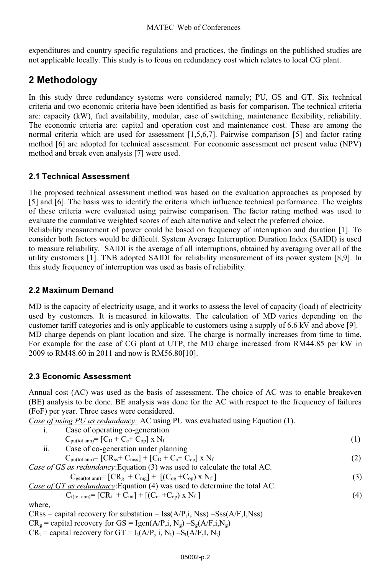expenditures and country specific regulations and practices, the findings on the published studies are not applicable locally. This study is to fcous on redundancy cost which relates to local CG plant.

# **2 Methodology**

In this study three redundancy systems were considered namely; PU, GS and GT. Six technical criteria and two economic criteria have been identified as basis for comparison. The technical criteria are: capacity (kW), fuel availability, modular, ease of switching, maintenance flexibility, reliability. The economic criteria are: capital and operation cost and maintenance cost. These are among the normal criteria which are used for assessment [1,5,6,7]. Pairwise comparison [5] and factor rating method [6] are adopted for technical assessment. For economic assessment net present value (NPV) method and break even analysis [7] were used.

### **2.1 Technical Assessment**

The proposed technical assessment method was based on the evaluation approaches as proposed by [5] and [6]. The basis was to identify the criteria which influence technical performance. The weights of these criteria were evaluated using pairwise comparison. The factor rating method was used to evaluate the cumulative weighted scores of each alternative and select the preferred choice.

Reliability measurement of power could be based on frequency of interruption and duration [1]. To consider both factors would be difficult. System Average Interruption Duration Index (SAIDI) is used to measure reliability. SAIDI is the average of all interruptions, obtained by averaging over all of the utility customers [1]. TNB adopted SAIDI for reliability measurement of its power system [8,9]. In this study frequency of interruption was used as basis of reliability.

### **2.2 Maximum Demand**

MD is the capacity of electricity usage, and it works to assess the level of capacity (load) of electricity used by customers. It is measured in kilowatts. The calculation of MD varies depending on the customer tariff categories and is only applicable to customers using a supply of 6.6 kV and above [9]. MD charge depends on plant location and size. The charge is normally increases from time to time. For example for the case of CG plant at UTP, the MD charge increased from RM44.85 per kW in 2009 to RM48.60 in 2011 and now is RM56.80[10].

#### **2.3 Economic Assessment**

Annual cost (AC) was used as the basis of assessment. The choice of AC was to enable breakeven (BE) analysis to be done. BE analysis was done for the AC with respect to the frequency of failures (FoF) per year. Three cases were considered.

*Case of using PU as redundancy:* AC using PU was evaluated using Equation (1).

| Case of operating co-generation                                                                                                                  |     |
|--------------------------------------------------------------------------------------------------------------------------------------------------|-----|
| $C_{\text{puttot ann}} = [C_{\text{D}} + C_{\text{e}} + C_{\text{on}}] \times N_f$                                                               | (1) |
| Case of co-generation under planning                                                                                                             |     |
| $C_{\text{pu}(\text{tot ann})}$ = [CR <sub>ss</sub> + C <sub>mss</sub> ] + [C <sub>D</sub> + C <sub>e</sub> + C <sub>op</sub> ] x N <sub>f</sub> | (2) |
| Case of GS as redundancy: Equation (3) was used to calculate the total AC.                                                                       |     |
| $C_{gen(tot ann)} = [CRg + Cmg] + [(Cog + Cop) \times Nf]$                                                                                       | (3) |
| Case of GT as redundancy: Equation (4) was used to determine the total AC.                                                                       |     |
| $C_{t(tot ann)} = [CR_t + C_{mt}] + [(C_{ot} + C_{op}) \times N_f]$                                                                              | (4) |
|                                                                                                                                                  |     |
| $CRss =$ capital recovery for substation = $\text{Iss}(A/P,i, \text{Nss}) - \text{Sss}(A/F,I, \text{Nss})$                                       |     |
|                                                                                                                                                  |     |

 $CR_g =$  capital recovery for GS = Igen(A/P,i, Ng)  $-S_g(A/F,i,N_g)$ 

 $CR_t$  = capital recovery for GT = I<sub>t</sub>(A/P, i, N<sub>t</sub>) –S<sub>t</sub>(A/F,I, N<sub>t</sub>)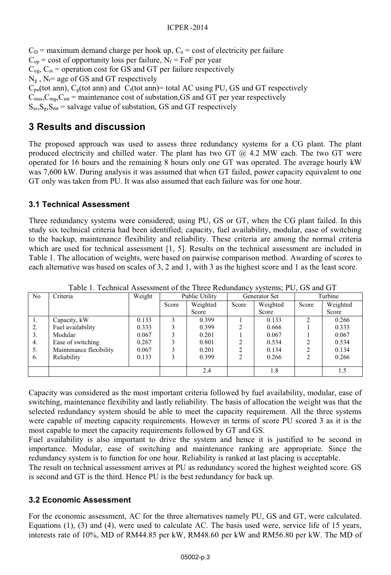$C<sub>D</sub>$  = maximum demand charge per hook up,  $C<sub>e</sub>$  = cost of electricity per failure  $C_{op}$  = cost of opportunity loss per failure,  $N_f$  = FoF per year  $C_{og}$ ,  $C_{ot}$  = operation cost for GS and GT per failure respectively  $N_g$ ,  $N_f$ = age of GS and GT respectively  $C_{pu}$ (tot ann),  $C_{g}$ (tot ann) and  $C_{t}$ (tot ann)= total AC using PU, GS and GT respectively  $C_{\text{mss}}$ , $C_{\text{mg}}$ , $C_{\text{mt}}$  = maintenance cost of substation, GS and GT per year respectively  $S_{ss}S_{\rm g},S_{\rm mt}$  = salvage value of substation, GS and GT respectively

### **3 Results and discussion**

The proposed approach was used to assess three redundancy systems for a CG plant. The plant produced electricity and chilled water. The plant has two GT  $@$  4.2 MW each. The two GT were operated for 16 hours and the remaining 8 hours only one GT was operated. The average hourly kW was 7,600 kW. During analysis it was assumed that when GT failed, power capacity equivalent to one GT only was taken from PU. It was also assumed that each failure was for one hour.

#### **3.1 Technical Assessment**

Three redundancy systems were considered; using PU, GS or GT, when the CG plant failed. In this study six technical criteria had been identified; capacity, fuel availability, modular, ease of switching to the backup, maintenance flexibility and reliability. These criteria are among the normal criteria which are used for technical assessment [1, 5]. Results on the technical assessment are included in Table 1. The allocation of weights, were based on pairwise comparison method. Awarding of scores to each alternative was based on scales of 3, 2 and 1, with 3 as the highest score and 1 as the least score.

| N <sub>o</sub> | Criteria                | Weight | Public Utility |          | Generator Set |          | Turbine        |          |
|----------------|-------------------------|--------|----------------|----------|---------------|----------|----------------|----------|
|                |                         |        | Score          | Weighted | Score         | Weighted | Score          | Weighted |
|                |                         |        |                | Score    |               | Score    |                | Score    |
| -1.            | Capacity, kW            | 0.133  | 3              | 0.399    |               | 0.133    | C              | 0.266    |
| 2.             | Fuel availability       | 0.333  | 3              | 0.399    |               | 0.666    |                | 0.333    |
| 3.             | Modular                 | 0.067  | 3              | 0.201    |               | 0.067    |                | 0.067    |
| 4.             | Ease of switching       | 0.267  |                | 0.801    |               | 0.534    |                | 0.534    |
| 5.             | Maintenance flexibility | 0.067  | 3              | 0.201    |               | 0.134    | $\overline{c}$ | 0.134    |
| 6.             | Reliability             | 0.133  | 3              | 0.399    |               | 0.266    | 2              | 0.266    |
|                |                         |        |                |          |               |          |                |          |
|                |                         |        |                | 2.4      |               | 1.8      |                | 1.5      |

Table 1. Technical Assessment of the Three Redundancy systems; PU, GS and GT

Capacity was considered as the most important criteria followed by fuel availability, modular, ease of switching, maintenance flexibility and lastly reliability. The basis of allocation the weight was that the selected redundancy system should be able to meet the capacity requirement. All the three systems were capable of meeting capacity requirements. However in terms of score PU scored 3 as it is the most capable to meet the capacity requirements followed by GT and GS.

Fuel availability is also important to drive the system and hence it is justified to be second in importance. Modular, ease of switching and maintenance ranking are appropriate. Since the redundancy system is to function for one hour. Reliability is ranked at last placing is acceptable.

The result on technical assessment arrives at PU as redundancy scored the highest weighted score. GS is second and GT is the third. Hence PU is the best redundancy for back up.

#### **3.2 Economic Assessment**

For the economic assessment, AC for the three alternatives namely PU, GS and GT, were calculated. Equations (1), (3) and (4), were used to calculate AC. The basis used were, service life of 15 years, interests rate of 10%, MD of RM44.85 per kW, RM48.60 per kW and RM56.80 per kW. The MD of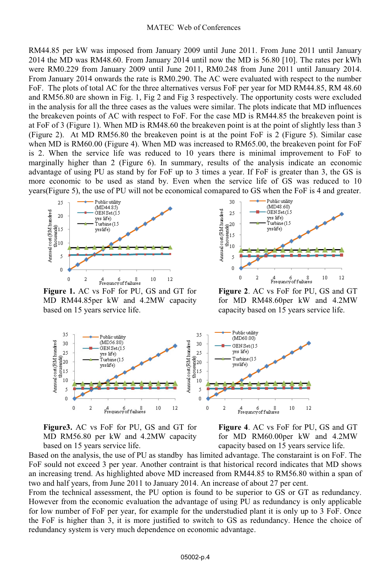#### MATEC Web of Conferences

RM44.85 per kW was imposed from January 2009 until June 2011. From June 2011 until January 2014 the MD was RM48.60. From January 2014 until now the MD is 56.80 [10]. The rates per kWh were RM0.229 from January 2009 until June 2011, RM0.248 from June 2011 until January 2014. From January 2014 onwards the rate is RM0.290. The AC were evaluated with respect to the number FoF. The plots of total AC for the three alternatives versus FoF per year for MD RM44.85, RM 48.60 and RM56.80 are shown in Fig. 1, Fig 2 and Fig 3 respectively. The opportunity costs were excluded in the analysis for all the three cases as the values were similar. The plots indicate that MD influences the breakeven points of AC with respect to FoF. For the case MD is RM44.85 the breakeven point is at FoF of 3 (Figure 1). When MD is RM48.60 the breakeven point is at the point of slightly less than 3 (Figure 2). At MD RM56.80 the breakeven point is at the point FoF is 2 (Figure 5). Similar case when MD is RM60.00 (Figure 4). When MD was increased to RM65.00, the breakeven point for FoF is 2. When the service life was reduced to 10 years there is minimal improvement to FoF to marginally higher than 2 (Figure 6). In summary, results of the analysis indicate an economic advantage of using PU as stand by for FoF up to 3 times a year. If FoF is greater than 3, the GS is more economic to be used as stand by. Even when the service life of GS was reduced to 10 years(Figure 5), the use of PU will not be economical comapared to GS when the FoF is 4 and greater.



**Figure 1.** AC vs FoF for PU, GS and GT for MD RM44.85per kW and 4.2MW capacity based on 15 years service life.



**Figure 2**. AC vs FoF for PU, GS and GT for MD RM48.60per kW and 4.2MW capacity based on 15 years service life.



**Figure3.** AC vs FoF for PU, GS and GT for MD RM56.80 per kW and 4.2MW capacity based on 15 years service life.



Based on the analysis, the use of PU as standby has limited advantage. The constaraint is on FoF. The FoF sould not exceed 3 per year. Another contraint is that historical record indicates that MD shows an increasing trend. As highlighted above MD increased from RM44.85 to RM56.80 within a span of two and half years, from June 2011 to January 2014. An increase of about 27 per cent.

From the technical assessment, the PU option is found to be superior to GS or GT as redundancy. However from the economic evaluation the advantage of using PU as redundancy is only applicable for low number of FoF per year, for example for the understudied plant it is only up to 3 FoF. Once the FoF is higher than 3, it is more justified to switch to GS as redundancy. Hence the choice of redundancy system is very much dependence on economic advantage.